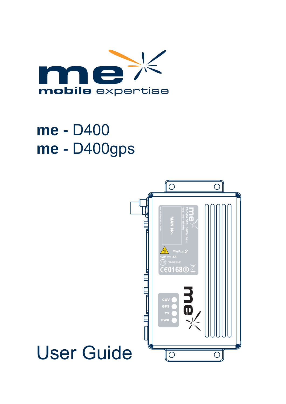

# **me -** D400 **me -** D400gps

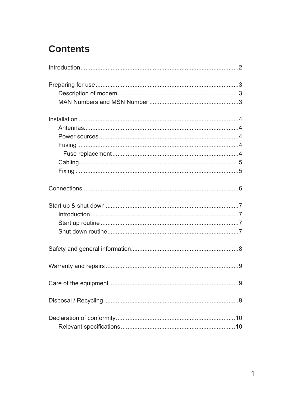# **Contents**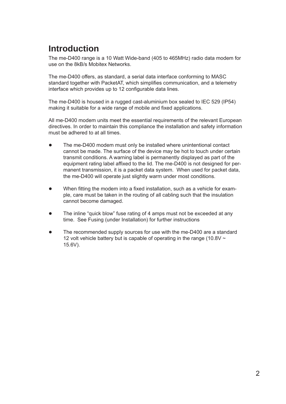# **Introduction**

The me-D400 range is a 10 Watt Wide-band (405 to 465MHz) radio data modem for use on the 8kB/s Mobitex Networks.

The me-D400 offers, as standard, a serial data interface conforming to MASC standard together with PacketAT, which simplifies communication, and a telemetry interface which provides up to 12 configurable data lines.

The me-D400 is housed in a rugged cast-aluminium box sealed to IEC 529 (IP54) making it suitable for a wide range of mobile and fixed applications.

All me-D400 modem units meet the essential requirements of the relevant European directives. In order to maintain this compliance the installation and safety information must be adhered to at all times.

- The me-D400 modem must only be installed where unintentional contact cannot be made. The surface of the device may be hot to touch under certain transmit conditions. A warning label is permanently displayed as part of the equipment rating label affixed to the lid. The me-D400 is not designed for permanent transmission, it is a packet data system. When used for packet data, the me-D400 will operate just slightly warm under most conditions. ●
- When fitting the modem into a fixed installation, such as a vehicle for example, care must be taken in the routing of all cabling such that the insulation cannot become damaged. ●
- The inline "quick blow" fuse rating of 4 amps must not be exceeded at any time. See Fusing (under Installation) for further instructions ●
- The recommended supply sources for use with the me-D400 are a standard 12 volt vehicle battery but is capable of operating in the range (10.8V  $\sim$ 15.6V). ●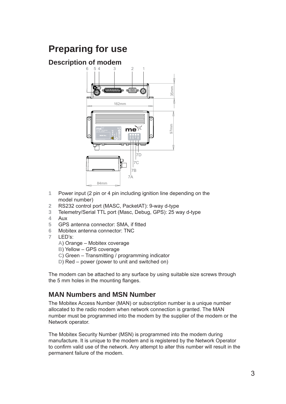# **Preparing for use**

#### **Description of modem**



- **1** Power input (2 pin or 4 pin including ignition line depending on the model number)
- **2** RS232 control port (MASC, PacketAT): 9-way d-type
- **3** Telemetry/Serial TTL port (Masc, Debug, GPS): 25 way d-type
- **4** Aux
- **5** GPS antenna connector: SMA, if fitted
- **6** Mobitex antenna connector: TNC
- **7** LED's:
	- **A**) Orange Mobitex coverage
	- **B**) Yellow GPS coverage
	- **C**) Green Transmitting / programming indicator
	- **D**) Red power (power to unit and switched on)

The modem can be attached to any surface by using suitable size screws through the 5 mm holes in the mounting flanges.

#### **MAN Numbers and MSN Number**

The Mobitex Access Number (MAN) or subscription number is a unique number allocated to the radio modem when network connection is granted. The MAN number must be programmed into the modem by the supplier of the modem or the Network operator.

The Mobitex Security Number (MSN) is programmed into the modem during manufacture. It is unique to the modem and is registered by the Network Operator to confirm valid use of the network. Any attempt to alter this number will result in the permanent failure of the modem.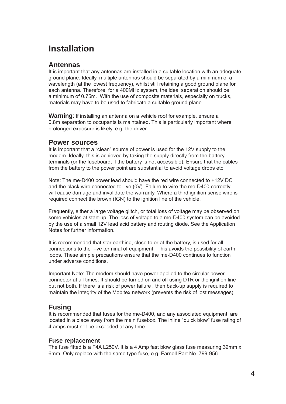### **Installation**

#### **Antennas**

It is important that any antennas are installed in a suitable location with an adequate ground plane. Ideally, multiple antennas should be separated by a minimum of a wavelength (at the lowest frequency), whilst still retaining a good ground plane for each antenna. Therefore, for a 400MHz system, the ideal separation should be a minimum of 0.75m. With the use of composite materials, especially on trucks, materials may have to be used to fabricate a suitable ground plane.

**Warning**: If installing an antenna on a vehicle roof for example, ensure a 0.8m separation to occupants is maintained. This is particularly important where prolonged exposure is likely, e.g. the driver

#### **Power sources**

It is important that a "clean" source of power is used for the 12V supply to the modem. Ideally, this is achieved by taking the supply directly from the battery terminals (or the fuseboard, if the battery is not accessible). Ensure that the cables from the battery to the power point are substantial to avoid voltage drops etc.

Note: The me-D400 power lead should have the red wire connected to +12V DC and the black wire connected to –ve (0V). Failure to wire the me-D400 correctly will cause damage and invalidate the warranty. Where a third ignition sense wire is required connect the brown (IGN) to the ignition line of the vehicle.

Frequently, either a large voltage glitch, or total loss of voltage may be observed on some vehicles at start-up. The loss of voltage to a me-D400 system can be avoided by the use of a small 12V lead acid battery and routing diode. See the Application Notes for further information.

It is recommended that star earthing, close to or at the battery, is used for all connections to the –ve terminal of equipment. This avoids the possibility of earth loops. These simple precautions ensure that the me-D400 continues to function under adverse conditions.

Important Note: The modem should have power applied to the circular power connector at all times. It should be turned on and off using DTR or the ignition line but not both. If there is a risk of power failure , then back-up supply is required to maintain the integrity of the Mobitex network (prevents the risk of lost messages).

#### **Fusing**

It is recommended that fuses for the me-D400, and any associated equipment, are located in a place away from the main fusebox. The inline "quick blow" fuse rating of 4 amps must not be exceeded at any time.

#### **Fuse replacement**

The fuse fitted is a F4A L250V. It is a 4 Amp fast blow glass fuse measuring 32mm x 6mm. Only replace with the same type fuse, e.g. Farnell Part No. 799-956.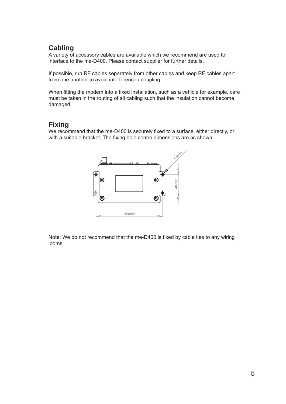#### **Cabling**

A variety of accessory cables are available which we recommend are used to interface to the me-D400. Please contact supplier for further details.

If possible, run RF cables separately from other cables and keep RF cables apart from one another to avoid interference / coupling.

When fitting the modem into a fixed installation, such as a vehicle for example, care must be taken in the routing of all cabling such that the insulation cannot become damaged.

#### **Fixing**

We recommend that the me-D400 is securely fixed to a surface, either directly, or with a suitable bracket. The fixing hole centre dimensions are as shown.



Note: We do not recommend that the me-D400 is fixed by cable ties to any wiring looms.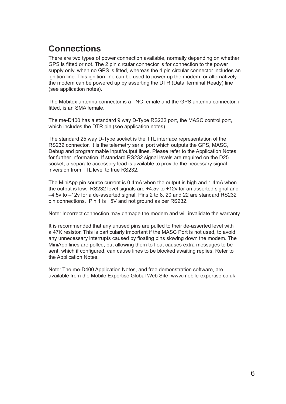# **Connections**

There are two types of power connection available, normally depending on whether GPS is fitted or not. The 2 pin circular connector is for connection to the power supply only, when no GPS is fitted, whereas the 4 pin circular connector includes an ignition line. This ignition line can be used to power up the modem, or alternatively the modem can be powered up by asserting the DTR (Data Terminal Ready) line (see application notes).

The Mobitex antenna connector is a TNC female and the GPS antenna connector, if fitted, is an SMA female.

The me-D400 has a standard 9 way D-Type RS232 port, the MASC control port, which includes the DTR pin (see application notes).

The standard 25 way D-Type socket is the TTL interface representation of the RS232 connector. It is the telemetry serial port which outputs the GPS, MASC, Debug and programmable input/output lines. Please refer to the Application Notes for further information. If standard RS232 signal levels are required on the D25 socket, a separate accessory lead is available to provide the necessary signal inversion from TTL level to true RS232.

The MiniApp pin source current is 0.4mA when the output is high and 1.4mA when the output is low. RS232 level signals are +4.5v to +12v for an asserted signal and –4.5v to –12v for a de-asserted signal. Pins 2 to 8, 20 and 22 are standard RS232 pin connections. Pin 1 is +5V and not ground as per RS232.

Note: Incorrect connection may damage the modem and will invalidate the warranty.

It is recommended that any unused pins are pulled to their de-asserted level with a 47K resistor. This is particularly important if the MASC Port is not used, to avoid any unnecessary interrupts caused by floating pins slowing down the modem. The MiniApp lines are polled, but allowing them to float causes extra messages to be sent, which if configured, can cause lines to be blocked awaiting replies. Refer to the Application Notes.

Note: The me-D400 Application Notes, and free demonstration software, are available from the Mobile Expertise Global Web Site, www.mobile-expertise.co.uk.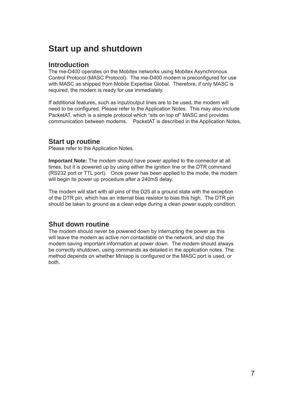### **Start up and shutdown**

#### **Introduction**

The me-D400 operates on the Mobitex networks using Mobitex Asynchronous Control Protocol (MASC Protocol). The me-D400 modem is preconfigured for use with MASC as shipped from Mobile Expertise Global. Therefore, if only MASC is required, the modem is ready for use immediately.

If additional features, such as input/output lines are to be used, the modem will need to be configured. Please refer to the Application Notes. This may also include PacketAT, which is a simple protocol which "sits on top of" MASC and provides communication between modems. PacketAT is described in the Application Notes.

#### **Start up routine**

Please refer to the Application Notes.

**Important Note:** The modem should have power applied to the connector at all times, but it is powered up by using either the ignition line or the DTR command (RS232 port or TTL port). Once power has been applied to the mode, the modem will begin its power up procedure after a 240mS delay.

The modem will start with all pins of the D25 at a ground state with the exception of the DTR pin, which has an internal bias resistor to bias this high. The DTR pin should be taken to ground as a clean edge during a clean power supply condition.

#### **Shut down routine**

The modem should never be powered down by interrupting the power as this will leave the modem as active non contactable on the network, and stop the modem saving important information at power down. The modem should always be correctly shutdown, using commands as detailed in the application notes. The method depends on whether Miniapp is configured or the MASC port is used, or both.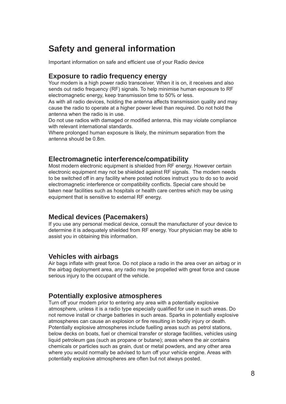### **Safety and general information**

Important information on safe and efficient use of your Radio device

#### **Exposure to radio frequency energy**

Your modem is a high power radio transceiver. When it is on, it receives and also sends out radio frequency (RF) signals. To help minimise human exposure to RF electromagnetic energy, keep transmission time to 50% or less.

As with all radio devices, holding the antenna affects transmission quality and may cause the radio to operate at a higher power level than required. Do not hold the antenna when the radio is in use.

Do not use radios with damaged or modified antenna, this may violate compliance with relevant international standards.

Where prolonged human exposure is likely, the minimum separation from the antenna should be 0.8m.

#### **Electromagnetic interference/compatibility**

Most modern electronic equipment is shielded from RF energy. However certain electronic equipment may not be shielded against RF signals. The modem needs to be switched off in any facility where posted notices instruct you to do so to avoid electromagnetic interference or compatibility conflicts. Special care should be taken near facilities such as hospitals or health care centres which may be using equipment that is sensitive to external RF energy.

#### **Medical devices (Pacemakers)**

If you use any personal medical device, consult the manufacturer of your device to determine it is adequately shielded from RF energy. Your physician may be able to assist you in obtaining this information.

#### **Vehicles with airbags**

Air bags inflate with great force. Do not place a radio in the area over an airbag or in the airbag deployment area, any radio may be propelled with great force and cause serious injury to the occupant of the vehicle.

#### **Potentially explosive atmospheres**

Turn off your modem prior to entering any area with a potentially explosive atmosphere, unless it is a radio type especially qualified for use in such areas. Do not remove install or charge batteries in such areas. Sparks in potentially explosive atmospheres can cause an explosion or fire resulting in bodily injury or death. Potentially explosive atmospheres include fuelling areas such as petrol stations, below decks on boats, fuel or chemical transfer or storage facilities, vehicles using liquid petroleum gas (such as propane or butane); areas where the air contains chemicals or particles such as grain, dust or metal powders, and any other area where you would normally be advised to turn off your vehicle engine. Areas with potentially explosive atmospheres are often but not always posted.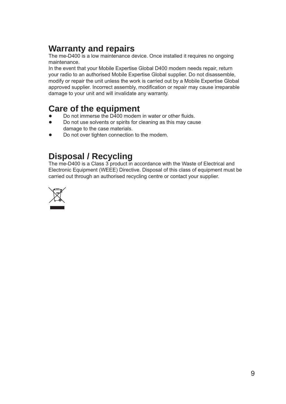# **Warranty and repairs**

The me-D400 is a low maintenance device. Once installed it requires no ongoing maintenance.

In the event that your Mobile Expertise Global D400 modem needs repair, return your radio to an authorised Mobile Expertise Global supplier. Do not disassemble, modify or repair the unit unless the work is carried out by a Mobile Expertise Global approved supplier. Incorrect assembly, modification or repair may cause irreparable damage to your unit and will invalidate any warranty.

### **Care of the equipment**

- Do not immerse the D400 modem in water or other fluids. ●
- Do not use solvents or spirits for cleaning as this may cause damage to the case materials. ●
- Do not over tighten connection to the modem. ●

### **Disposal / Recycling**

The me-D400 is a Class 3 product in accordance with the Waste of Electrical and Electronic Equipment (WEEE) Directive. Disposal of this class of equipment must be carried out through an authorised recycling centre or contact your supplier.

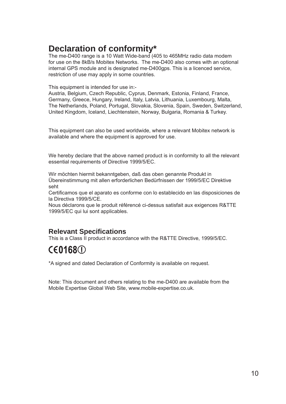### **Declaration of conformity\***

The me-D400 range is a 10 Watt Wide-band (405 to 465MHz radio data modem for use on the 8kB/s Mobitex Networks. The me-D400 also comes with an optional internal GPS module and is designated me-D400gps. This is a licenced service, restriction of use may apply in some countries.

This equipment is intended for use in:-

Austria, Belgium, Czech Republic, Cyprus, Denmark, Estonia, Finland, France, Germany, Greece, Hungary, Ireland, Italy, Latvia, Lithuania, Luxembourg, Malta, The Netherlands, Poland, Portugal, Slovakia, Slovenia, Spain, Sweden, Switzerland, United Kingdom, Iceland, Liechtenstein, Norway, Bulgaria, Romania & Turkey.

This equipment can also be used worldwide, where a relevant Mobitex network is available and where the equipment is approved for use.

We hereby declare that the above named product is in conformity to all the relevant essential requirements of Directive 1999/5/EC.

Wir möchten hiermit bekanntgeben, daß das oben genannte Produkt in Übereinstimmung mit allen erforderlichen Bedürfnissen der 1999/5/EC Direktive seht

Certificamos que el aparato es conforme con lo establecido en las disposiciones de la Directiva 1999/5/CE.

Nous déclarons que le produit référencé ci-dessus satisfait aux exigences R&TTE 1999/5/EC qui lui sont applicables.

#### **Relevant Specifications**

This is a Class II product in accordance with the R&TTE Directive, 1999/5/EC.

# $C$  $E$ 0168 $D$

\*A signed and dated Declaration of Conformity is available on request.

Note: This document and others relating to the me-D400 are available from the Mobile Expertise Global Web Site, www.mobile-expertise.co.uk.